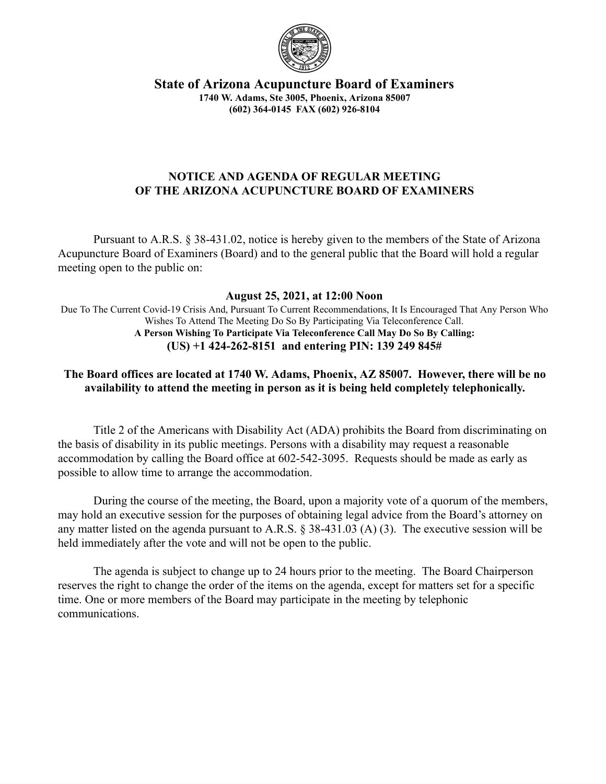

**State of Arizona Acupuncture Board of Examiners 1740 W. Adams, Ste 3005, Phoenix, Arizona 85007 (602) 364-0145 FAX (602) 926-8104**

## **NOTICE AND AGENDA OF REGULAR MEETING OF THE ARIZONA ACUPUNCTURE BOARD OF EXAMINERS**

Pursuant to A.R.S. § 38-431.02, notice is hereby given to the members of the State of Arizona Acupuncture Board of Examiners (Board) and to the general public that the Board will hold a regular meeting open to the public on:

#### **August 25, 2021, at 12:00 Noon**

Due To The Current Covid-19 Crisis And, Pursuant To Current Recommendations, It Is Encouraged That Any Person Who Wishes To Attend The Meeting Do So By Participating Via Teleconference Call. **A Person Wishing To Participate Via Teleconference Call May Do So By Calling: (US) +1 424-262-8151 and entering PIN: 139 249 845#**

# **The Board offices are located at 1740 W. Adams, Phoenix, AZ 85007. However, there will be no availability to attend the meeting in person as it is being held completely telephonically.**

Title 2 of the Americans with Disability Act (ADA) prohibits the Board from discriminating on the basis of disability in its public meetings. Persons with a disability may request a reasonable accommodation by calling the Board office at 602-542-3095. Requests should be made as early as possible to allow time to arrange the accommodation.

During the course of the meeting, the Board, upon a majority vote of a quorum of the members, may hold an executive session for the purposes of obtaining legal advice from the Board's attorney on any matter listed on the agenda pursuant to A.R.S. § 38-431.03 (A) (3). The executive session will be held immediately after the vote and will not be open to the public.

The agenda is subject to change up to 24 hours prior to the meeting. The Board Chairperson reserves the right to change the order of the items on the agenda, except for matters set for a specific time. One or more members of the Board may participate in the meeting by telephonic communications.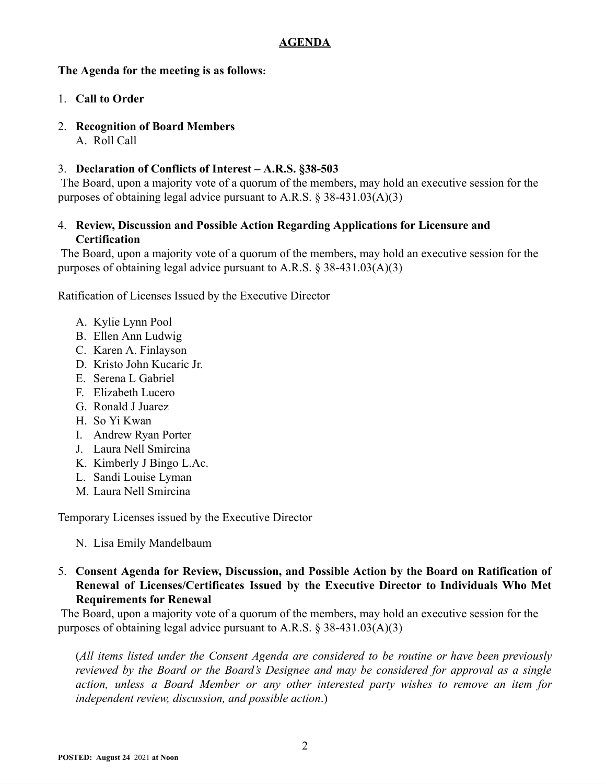## **AGENDA**

### **The Agenda for the meeting is as follows:**

- 1. **Call to Order**
- 2. **Recognition of Board Members**
	- A. Roll Call

# 3. **Declaration of Conflicts of Interest – A.R.S. §38-503**

The Board, upon a majority vote of a quorum of the members, may hold an executive session for the purposes of obtaining legal advice pursuant to A.R.S. § 38-431.03(A)(3)

## 4. **Review, Discussion and Possible Action Regarding Applications for Licensure and Certification**

The Board, upon a majority vote of a quorum of the members, may hold an executive session for the purposes of obtaining legal advice pursuant to A.R.S.  $\S$  38-431.03(A)(3)

Ratification of Licenses Issued by the Executive Director

- A. Kylie Lynn Pool
- B. Ellen Ann Ludwig
- C. Karen A. Finlayson
- D. Kristo John Kucaric Jr.
- E. Serena L Gabriel
- F. Elizabeth Lucero
- G. Ronald J Juarez
- H. So Yi Kwan
- I. Andrew Ryan Porter
- J. Laura Nell Smircina
- K. Kimberly J Bingo L.Ac.
- L. Sandi Louise Lyman
- M. Laura Nell Smircina

Temporary Licenses issued by the Executive Director

N. Lisa Emily Mandelbaum

### 5. **Consent Agenda for Review, Discussion, and Possible Action by the Board on Ratification of Renewal of Licenses/Certificates Issued by the Executive Director to Individuals Who Met Requirements for Renewal**

The Board, upon a majority vote of a quorum of the members, may hold an executive session for the purposes of obtaining legal advice pursuant to A.R.S. § 38-431.03(A)(3)

(*All items listed under the Consent Agenda are considered to be routine or have been previously reviewed by the Board or the Board's Designee and may be considered for approval as a single action, unless a Board Member or any other interested party wishes to remove an item for independent review, discussion, and possible action*.)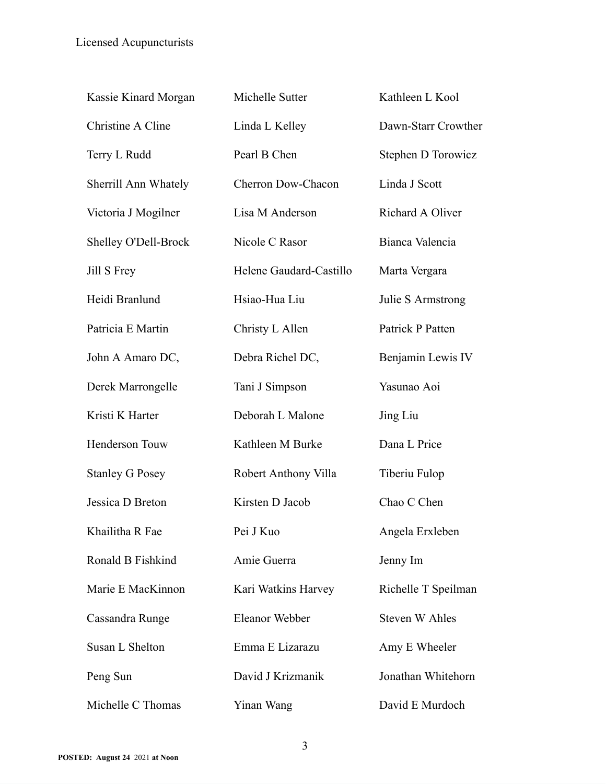| Kassie Kinard Morgan   | Michelle Sutter         | Kathleen L Kool       |
|------------------------|-------------------------|-----------------------|
| Christine A Cline      | Linda L Kelley          | Dawn-Starr Crowther   |
| Terry L Rudd           | Pearl B Chen            | Stephen D Torowicz    |
| Sherrill Ann Whately   | Cherron Dow-Chacon      | Linda J Scott         |
| Victoria J Mogilner    | Lisa M Anderson         | Richard A Oliver      |
| Shelley O'Dell-Brock   | Nicole C Rasor          | Bianca Valencia       |
| Jill S Frey            | Helene Gaudard-Castillo | Marta Vergara         |
| Heidi Branlund         | Hsiao-Hua Liu           | Julie S Armstrong     |
| Patricia E Martin      | Christy L Allen         | Patrick P Patten      |
| John A Amaro DC,       | Debra Richel DC,        | Benjamin Lewis IV     |
| Derek Marrongelle      | Tani J Simpson          | Yasunao Aoi           |
| Kristi K Harter        | Deborah L Malone        | Jing Liu              |
| Henderson Touw         | Kathleen M Burke        | Dana L Price          |
| <b>Stanley G Posey</b> | Robert Anthony Villa    | Tiberiu Fulop         |
| Jessica D Breton       | Kirsten D Jacob         | Chao C Chen           |
| Khailitha R Fae        | Pei J Kuo               | Angela Erxleben       |
| Ronald B Fishkind      | Amie Guerra             | Jenny Im              |
| Marie E MacKinnon      | Kari Watkins Harvey     | Richelle T Speilman   |
| Cassandra Runge        | Eleanor Webber          | <b>Steven W Ahles</b> |
| Susan L Shelton        | Emma E Lizarazu         | Amy E Wheeler         |
| Peng Sun               | David J Krizmanik       | Jonathan Whitehorn    |
| Michelle C Thomas      | Yinan Wang              | David E Murdoch       |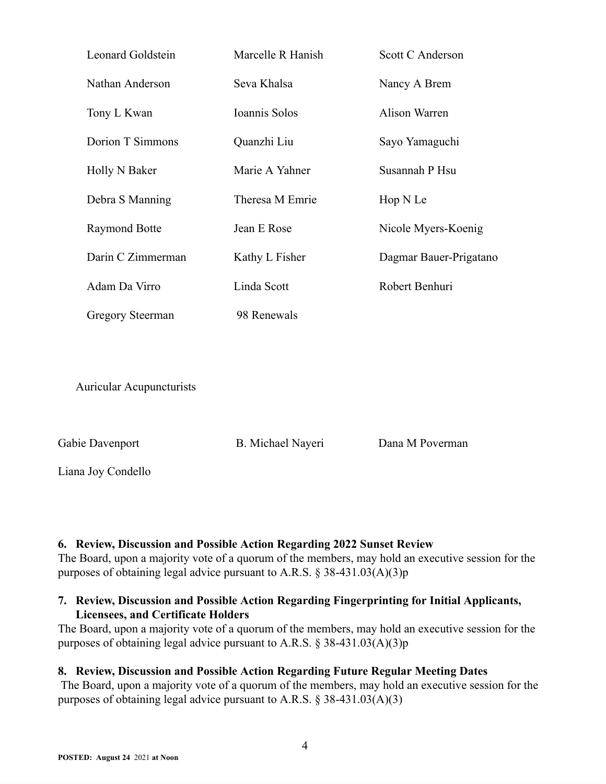| Leonard Goldstein       | Marcelle R Hanish | Scott C Anderson       |
|-------------------------|-------------------|------------------------|
| Nathan Anderson         | Seva Khalsa       | Nancy A Brem           |
| Tony L Kwan             | Ioannis Solos     | Alison Warren          |
| Dorion T Simmons        | Quanzhi Liu       | Sayo Yamaguchi         |
| Holly N Baker           | Marie A Yahner    | Susannah P Hsu         |
| Debra S Manning         | Theresa M Emrie   | Hop N Le               |
| <b>Raymond Botte</b>    | Jean E Rose       | Nicole Myers-Koenig    |
| Darin C Zimmerman       | Kathy L Fisher    | Dagmar Bauer-Prigatano |
| Adam Da Virro           | Linda Scott       | Robert Benhuri         |
| <b>Gregory Steerman</b> | 98 Renewals       |                        |
|                         |                   |                        |

Auricular Acupuncturists

Gabie Davenport B. Michael Nayeri Dana M Poverman

Liana Joy Condello

# **6. Review, Discussion and Possible Action Regarding 2022 Sunset Review**

The Board, upon a majority vote of a quorum of the members, may hold an executive session for the purposes of obtaining legal advice pursuant to A.R.S. § 38-431.03(A)(3)p

# **7. Review, Discussion and Possible Action Regarding Fingerprinting for Initial Applicants, Licensees, and Certificate Holders**

The Board, upon a majority vote of a quorum of the members, may hold an executive session for the purposes of obtaining legal advice pursuant to A.R.S. § 38-431.03(A)(3)p

# **8. Review, Discussion and Possible Action Regarding Future Regular Meeting Dates**

The Board, upon a majority vote of a quorum of the members, may hold an executive session for the purposes of obtaining legal advice pursuant to A.R.S. § 38-431.03(A)(3)